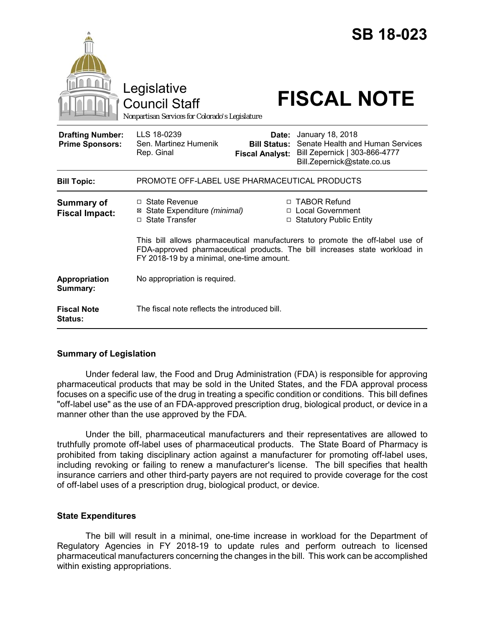|                                                   | <b>SB 18-023</b><br>Legislative<br><b>FISCAL NOTE</b><br><b>Council Staff</b><br>Nonpartisan Services for Colorado's Legislature                                                                                                    |
|---------------------------------------------------|-------------------------------------------------------------------------------------------------------------------------------------------------------------------------------------------------------------------------------------|
| <b>Drafting Number:</b><br><b>Prime Sponsors:</b> | LLS 18-0239<br>January 18, 2018<br>Date:<br>Senate Health and Human Services<br>Sen. Martinez Humenik<br><b>Bill Status:</b><br>Rep. Ginal<br>Bill Zepernick   303-866-4777<br><b>Fiscal Analyst:</b><br>Bill.Zepernick@state.co.us |
| <b>Bill Topic:</b>                                | PROMOTE OFF-LABEL USE PHARMACEUTICAL PRODUCTS                                                                                                                                                                                       |
| <b>Summary of</b><br><b>Fiscal Impact:</b>        | □ TABOR Refund<br>$\Box$ State Revenue<br>□ Local Government<br>State Expenditure (minimal)<br>⊠<br>□ State Transfer<br>□ Statutory Public Entity                                                                                   |
|                                                   | This bill allows pharmaceutical manufacturers to promote the off-label use of<br>FDA-approved pharmaceutical products. The bill increases state workload in<br>FY 2018-19 by a minimal, one-time amount.                            |
| Appropriation<br>Summary:                         | No appropriation is required.                                                                                                                                                                                                       |
| <b>Fiscal Note</b><br>Status:                     | The fiscal note reflects the introduced bill.                                                                                                                                                                                       |

## **Summary of Legislation**

Under federal law, the Food and Drug Administration (FDA) is responsible for approving pharmaceutical products that may be sold in the United States, and the FDA approval process focuses on a specific use of the drug in treating a specific condition or conditions. This bill defines "off-label use" as the use of an FDA-approved prescription drug, biological product, or device in a manner other than the use approved by the FDA.

Under the bill, pharmaceutical manufacturers and their representatives are allowed to truthfully promote off-label uses of pharmaceutical products. The State Board of Pharmacy is prohibited from taking disciplinary action against a manufacturer for promoting off-label uses, including revoking or failing to renew a manufacturer's license. The bill specifies that health insurance carriers and other third-party payers are not required to provide coverage for the cost of off-label uses of a prescription drug, biological product, or device.

## **State Expenditures**

The bill will result in a minimal, one-time increase in workload for the Department of Regulatory Agencies in FY 2018-19 to update rules and perform outreach to licensed pharmaceutical manufacturers concerning the changes in the bill. This work can be accomplished within existing appropriations.